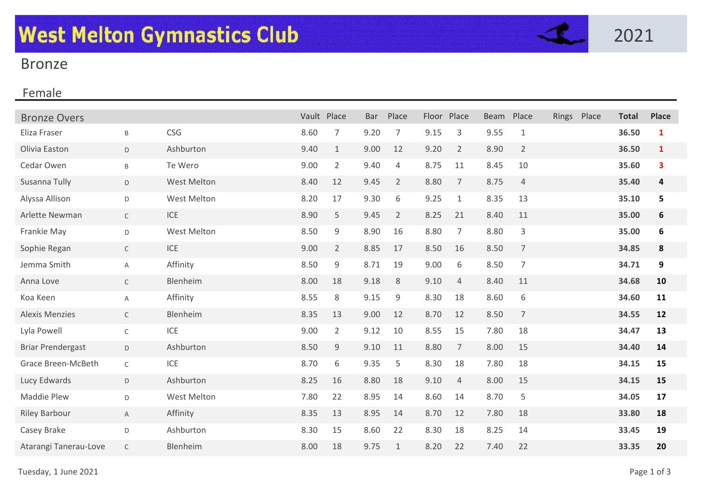

## Bronze

## Female

| <b>Bronze Overs</b>      |              |             | Vault Place |                | <b>Bar</b> | Place          | Floor | Place          | <b>Beam</b> | Place          | Rings | Place | <b>Total</b> | <b>Place</b>     |
|--------------------------|--------------|-------------|-------------|----------------|------------|----------------|-------|----------------|-------------|----------------|-------|-------|--------------|------------------|
| Eliza Fraser             | $\sf{B}$     | <b>CSG</b>  | 8.60        | 7              | 9.20       | 7              | 9.15  | 3              | 9.55        | $\mathbf{1}$   |       |       | 36.50        | $\mathbf{1}$     |
| Olivia Easton            | D            | Ashburton   | 9.40        | $\mathbf{1}$   | 9.00       | 12             | 9.20  | $\overline{2}$ | 8.90        | $\overline{2}$ |       |       | 36.50        | $\mathbf{1}$     |
| Cedar Owen               | B            | Te Wero     | 9.00        | $\overline{2}$ | 9.40       | 4              | 8.75  | 11             | 8.45        | 10             |       |       | 35.60        | 3                |
| Susanna Tully            | D            | West Melton | 8.40        | 12             | 9.45       | $\overline{2}$ | 8.80  | $\overline{7}$ | 8.75        | $\overline{4}$ |       |       | 35.40        | 4                |
| Alyssa Allison           | D            | West Melton | 8.20        | 17             | 9.30       | 6              | 9.25  | $\mathbf{1}$   | 8.35        | 13             |       |       | 35.10        | 5                |
| Arlette Newman           | $\mathsf{C}$ | ICE         | 8.90        | 5              | 9.45       | $\overline{2}$ | 8.25  | 21             | 8.40        | 11             |       |       | 35.00        | 6                |
| Frankie May              | D            | West Melton | 8.50        | 9              | 8.90       | 16             | 8.80  | $\overline{7}$ | 8.80        | 3              |       |       | 35.00        | $\boldsymbol{6}$ |
| Sophie Regan             | $\mathsf{C}$ | ICE         | 9.00        | $\overline{2}$ | 8.85       | 17             | 8.50  | 16             | 8.50        | $\overline{7}$ |       |       | 34.85        | 8                |
| Jemma Smith              | Α            | Affinity    | 8.50        | 9              | 8.71       | 19             | 9.00  | 6              | 8.50        | $\overline{7}$ |       |       | 34.71        | 9                |
| Anna Love                | $\mathsf{C}$ | Blenheim    | 8.00        | 18             | 9.18       | 8              | 9.10  | 4              | 8.40        | 11             |       |       | 34.68        | 10               |
| Koa Keen                 | A            | Affinity    | 8.55        | 8              | 9.15       | 9              | 8.30  | 18             | 8.60        | 6              |       |       | 34.60        | 11               |
| <b>Alexis Menzies</b>    | $\mathsf{C}$ | Blenheim    | 8.35        | 13             | 9.00       | 12             | 8.70  | 12             | 8.50        | $\overline{7}$ |       |       | 34.55        | 12               |
| Lyla Powell              | $\mathsf C$  | ICE         | 9.00        | $\overline{2}$ | 9.12       | 10             | 8.55  | 15             | 7.80        | 18             |       |       | 34.47        | 13               |
| <b>Briar Prendergast</b> | D            | Ashburton   | 8.50        | 9              | 9.10       | 11             | 8.80  | $\overline{7}$ | 8.00        | 15             |       |       | 34.40        | 14               |
| Grace Breen-McBeth       | $\mathsf C$  | ICE         | 8.70        | 6              | 9.35       | 5              | 8.30  | 18             | 7.80        | 18             |       |       | 34.15        | 15               |
| Lucy Edwards             | D            | Ashburton   | 8.25        | 16             | 8.80       | 18             | 9.10  | 4              | 8.00        | 15             |       |       | 34.15        | 15               |
| Maddie Plew              | D            | West Melton | 7.80        | 22             | 8.95       | 14             | 8.60  | 14             | 8.70        | 5              |       |       | 34.05        | 17               |
| <b>Riley Barbour</b>     | A            | Affinity    | 8.35        | 13             | 8.95       | 14             | 8.70  | 12             | 7.80        | 18             |       |       | 33.80        | 18               |
| Casey Brake              | D            | Ashburton   | 8.30        | 15             | 8.60       | 22             | 8.30  | 18             | 8.25        | 14             |       |       | 33.45        | 19               |
| Atarangi Tanerau-Love    | $\mathsf{C}$ | Blenheim    | 8.00        | 18             | 9.75       | $\mathbf 1$    | 8.20  | 22             | 7.40        | 22             |       |       | 33.35        | 20               |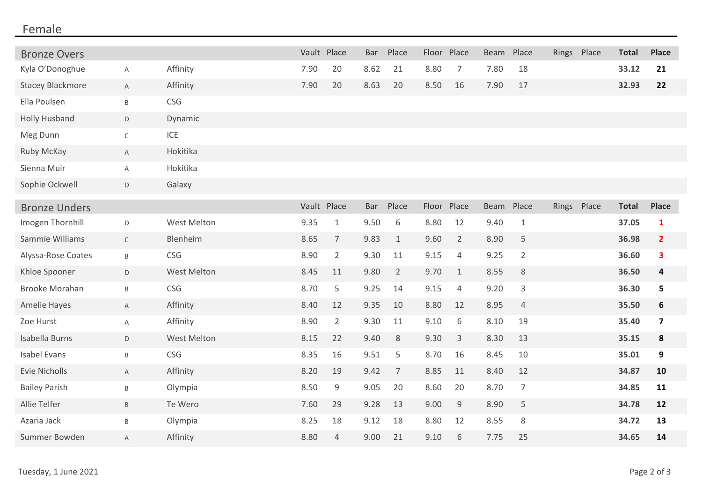## Female

| <b>Bronze Overs</b>     |                |                    | Vault Place |                | <b>Bar</b> | Place          |       | Floor Place    | <b>Beam</b> | Place          |       | Rings Place | <b>Total</b> | <b>Place</b>            |
|-------------------------|----------------|--------------------|-------------|----------------|------------|----------------|-------|----------------|-------------|----------------|-------|-------------|--------------|-------------------------|
| Kyla O'Donoghue         | Α              | Affinity           | 7.90        | 20             | 8.62       | 21             | 8.80  | $\overline{7}$ | 7.80        | 18             |       |             | 33.12        | 21                      |
| <b>Stacey Blackmore</b> | A              | Affinity           | 7.90        | 20             | 8.63       | 20             | 8.50  | 16             | 7.90        | 17             |       |             | 32.93        | 22                      |
| Ella Poulsen            | $\mathsf B$    | CSG                |             |                |            |                |       |                |             |                |       |             |              |                         |
| <b>Holly Husband</b>    | D              | Dynamic            |             |                |            |                |       |                |             |                |       |             |              |                         |
| Meg Dunn                | $\mathsf C$    | ICE                |             |                |            |                |       |                |             |                |       |             |              |                         |
| Ruby McKay              | $\mathsf{A}$   | Hokitika           |             |                |            |                |       |                |             |                |       |             |              |                         |
| Sienna Muir             | Α              | Hokitika           |             |                |            |                |       |                |             |                |       |             |              |                         |
| Sophie Ockwell          | D              | Galaxy             |             |                |            |                |       |                |             |                |       |             |              |                         |
| <b>Bronze Unders</b>    |                |                    | Vault Place |                | <b>Bar</b> | Place          | Floor | Place          | <b>Beam</b> | Place          | Rings | Place       | <b>Total</b> | <b>Place</b>            |
| Imogen Thornhill        | D              | <b>West Melton</b> | 9.35        | $\mathbf{1}$   | 9.50       | 6              | 8.80  | 12             | 9.40        | $\mathbf{1}$   |       |             | 37.05        | $\mathbf{1}$            |
| Sammie Williams         | $\mathsf C$    | Blenheim           | 8.65        | $\overline{7}$ | 9.83       | $\mathbf{1}$   | 9.60  | $\overline{2}$ | 8.90        | 5              |       |             | 36.98        | $\overline{2}$          |
| Alyssa-Rose Coates      | $\mathsf B$    | CSG                | 8.90        | $\overline{2}$ | 9.30       | 11             | 9.15  | 4              | 9.25        | $\overline{2}$ |       |             | 36.60        | 3                       |
| Khloe Spooner           | D              | <b>West Melton</b> | 8.45        | 11             | 9.80       | $\overline{2}$ | 9.70  | $\mathbf{1}$   | 8.55        | $\,8\,$        |       |             | 36.50        | 4                       |
| <b>Brooke Morahan</b>   | $\sf B$        | CSG                | 8.70        | 5              | 9.25       | 14             | 9.15  | 4              | 9.20        | 3              |       |             | 36.30        | 5                       |
| <b>Amelie Hayes</b>     | $\overline{A}$ | Affinity           | 8.40        | 12             | 9.35       | 10             | 8.80  | 12             | 8.95        | $\overline{4}$ |       |             | 35.50        | $\boldsymbol{6}$        |
| Zoe Hurst               | Α              | Affinity           | 8.90        | $\overline{2}$ | 9.30       | 11             | 9.10  | 6              | 8.10        | 19             |       |             | 35.40        | $\overline{\mathbf{z}}$ |
| Isabella Burns          | D              | West Melton        | 8.15        | 22             | 9.40       | 8              | 9.30  | 3              | 8.30        | 13             |       |             | 35.15        | 8                       |
| Isabel Evans            | Β              | CSG                | 8.35        | 16             | 9.51       | 5              | 8.70  | 16             | 8.45        | 10             |       |             | 35.01        | 9                       |
| Evie Nicholls           | A              | Affinity           | 8.20        | 19             | 9.42       | $\overline{7}$ | 8.85  | 11             | 8.40        | 12             |       |             | 34.87        | 10                      |
| <b>Bailey Parish</b>    | B              | Olympia            | 8.50        | 9              | 9.05       | 20             | 8.60  | 20             | 8.70        | $\overline{7}$ |       |             | 34.85        | 11                      |
| Allie Telfer            | $\mathsf B$    | Te Wero            | 7.60        | 29             | 9.28       | 13             | 9.00  | $9\,$          | 8.90        | 5              |       |             | 34.78        | 12                      |
| Azaria Jack             | $\sf B$        | Olympia            | 8.25        | 18             | 9.12       | 18             | 8.80  | 12             | 8.55        | 8              |       |             | 34.72        | 13                      |
| Summer Bowden           | A              | Affinity           | 8.80        | 4              | 9.00       | 21             | 9.10  | 6              | 7.75        | 25             |       |             | 34.65        | 14                      |